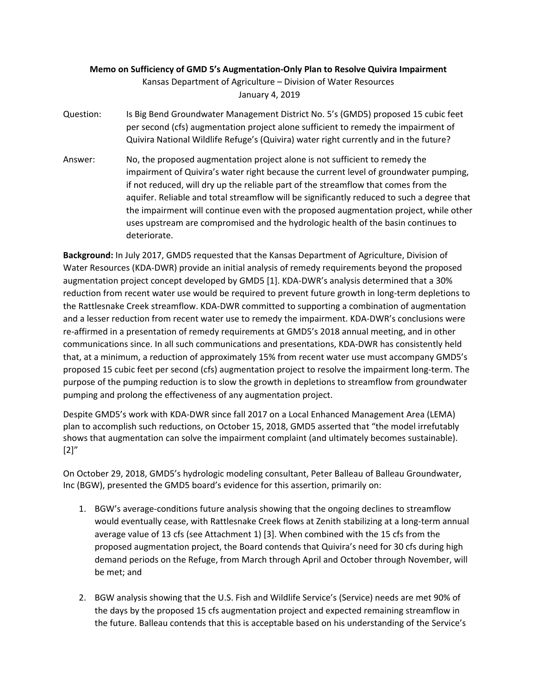### **Memo on Sufficiency of GMD 5's Augmentation‐Only Plan to Resolve Quivira Impairment** Kansas Department of Agriculture – Division of Water Resources January 4, 2019

- Question: Is Big Bend Groundwater Management District No. 5's (GMD5) proposed 15 cubic feet per second (cfs) augmentation project alone sufficient to remedy the impairment of Quivira National Wildlife Refuge's (Quivira) water right currently and in the future?
- Answer: No, the proposed augmentation project alone is not sufficient to remedy the impairment of Quivira's water right because the current level of groundwater pumping, if not reduced, will dry up the reliable part of the streamflow that comes from the aquifer. Reliable and total streamflow will be significantly reduced to such a degree that the impairment will continue even with the proposed augmentation project, while other uses upstream are compromised and the hydrologic health of the basin continues to deteriorate.

**Background:** In July 2017, GMD5 requested that the Kansas Department of Agriculture, Division of Water Resources (KDA‐DWR) provide an initial analysis of remedy requirements beyond the proposed augmentation project concept developed by GMD5 [1]. KDA‐DWR's analysis determined that a 30% reduction from recent water use would be required to prevent future growth in long-term depletions to the Rattlesnake Creek streamflow. KDA‐DWR committed to supporting a combination of augmentation and a lesser reduction from recent water use to remedy the impairment. KDA‐DWR's conclusions were re-affirmed in a presentation of remedy requirements at GMD5's 2018 annual meeting, and in other communications since. In all such communications and presentations, KDA‐DWR has consistently held that, at a minimum, a reduction of approximately 15% from recent water use must accompany GMD5's proposed 15 cubic feet per second (cfs) augmentation project to resolve the impairment long‐term. The purpose of the pumping reduction is to slow the growth in depletions to streamflow from groundwater pumping and prolong the effectiveness of any augmentation project.

Despite GMD5's work with KDA‐DWR since fall 2017 on a Local Enhanced Management Area (LEMA) plan to accomplish such reductions, on October 15, 2018, GMD5 asserted that "the model irrefutably shows that augmentation can solve the impairment complaint (and ultimately becomes sustainable).  $[2]$ "

On October 29, 2018, GMD5's hydrologic modeling consultant, Peter Balleau of Balleau Groundwater, Inc (BGW), presented the GMD5 board's evidence for this assertion, primarily on:

- 1. BGW's average-conditions future analysis showing that the ongoing declines to streamflow would eventually cease, with Rattlesnake Creek flows at Zenith stabilizing at a long‐term annual average value of 13 cfs (see Attachment 1) [3]. When combined with the 15 cfs from the proposed augmentation project, the Board contends that Quivira's need for 30 cfs during high demand periods on the Refuge, from March through April and October through November, will be met; and
- 2. BGW analysis showing that the U.S. Fish and Wildlife Service's (Service) needs are met 90% of the days by the proposed 15 cfs augmentation project and expected remaining streamflow in the future. Balleau contends that this is acceptable based on his understanding of the Service's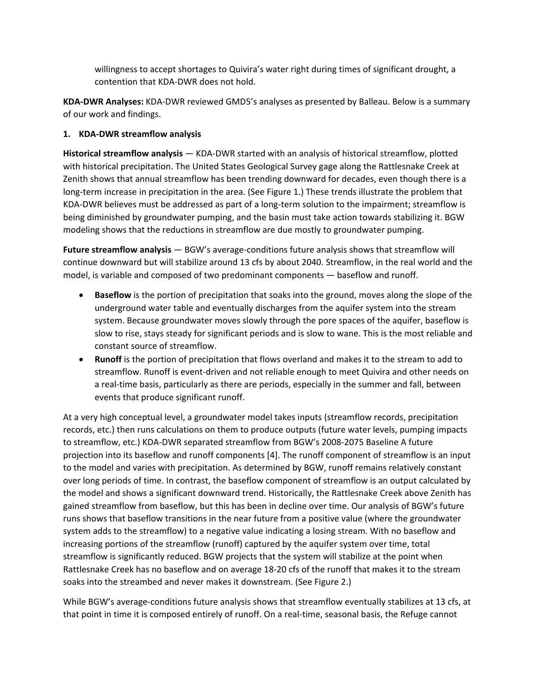willingness to accept shortages to Quivira's water right during times of significant drought, a contention that KDA‐DWR does not hold.

**KDA‐DWR Analyses:** KDA‐DWR reviewed GMD5's analyses as presented by Balleau. Below is a summary of our work and findings.

#### **1. KDA‐DWR streamflow analysis**

**Historical streamflow analysis** — KDA‐DWR started with an analysis of historical streamflow, plotted with historical precipitation. The United States Geological Survey gage along the Rattlesnake Creek at Zenith shows that annual streamflow has been trending downward for decades, even though there is a long-term increase in precipitation in the area. (See Figure 1.) These trends illustrate the problem that KDA-DWR believes must be addressed as part of a long-term solution to the impairment; streamflow is being diminished by groundwater pumping, and the basin must take action towards stabilizing it. BGW modeling shows that the reductions in streamflow are due mostly to groundwater pumping.

Future streamflow analysis — BGW's average-conditions future analysis shows that streamflow will continue downward but will stabilize around 13 cfs by about 2040. Streamflow, in the real world and the model, is variable and composed of two predominant components — baseflow and runoff.

- **Baseflow** is the portion of precipitation that soaks into the ground, moves along the slope of the underground water table and eventually discharges from the aquifer system into the stream system. Because groundwater moves slowly through the pore spaces of the aquifer, baseflow is slow to rise, stays steady for significant periods and is slow to wane. This is the most reliable and constant source of streamflow.
- **Runoff** is the portion of precipitation that flows overland and makes it to the stream to add to streamflow. Runoff is event-driven and not reliable enough to meet Quivira and other needs on a real‐time basis, particularly as there are periods, especially in the summer and fall, between events that produce significant runoff.

At a very high conceptual level, a groundwater model takes inputs (streamflow records, precipitation records, etc.) then runs calculations on them to produce outputs (future water levels, pumping impacts to streamflow, etc.) KDA‐DWR separated streamflow from BGW's 2008‐2075 Baseline A future projection into its baseflow and runoff components [4]. The runoff component of streamflow is an input to the model and varies with precipitation. As determined by BGW, runoff remains relatively constant over long periods of time. In contrast, the baseflow component of streamflow is an output calculated by the model and shows a significant downward trend. Historically, the Rattlesnake Creek above Zenith has gained streamflow from baseflow, but this has been in decline over time. Our analysis of BGW's future runs shows that baseflow transitions in the near future from a positive value (where the groundwater system adds to the streamflow) to a negative value indicating a losing stream. With no baseflow and increasing portions of the streamflow (runoff) captured by the aquifer system over time, total streamflow is significantly reduced. BGW projects that the system will stabilize at the point when Rattlesnake Creek has no baseflow and on average 18‐20 cfs of the runoff that makes it to the stream soaks into the streambed and never makes it downstream. (See Figure 2.)

While BGW's average-conditions future analysis shows that streamflow eventually stabilizes at 13 cfs, at that point in time it is composed entirely of runoff. On a real‐time, seasonal basis, the Refuge cannot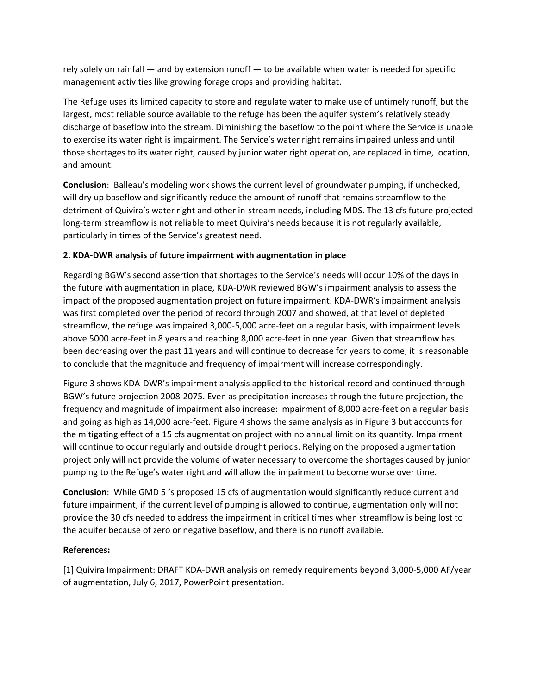rely solely on rainfall — and by extension runoff — to be available when water is needed for specific management activities like growing forage crops and providing habitat.

The Refuge uses its limited capacity to store and regulate water to make use of untimely runoff, but the largest, most reliable source available to the refuge has been the aquifer system's relatively steady discharge of baseflow into the stream. Diminishing the baseflow to the point where the Service is unable to exercise its water right is impairment. The Service's water right remains impaired unless and until those shortages to its water right, caused by junior water right operation, are replaced in time, location, and amount.

**Conclusion**: Balleau's modeling work shows the current level of groundwater pumping, if unchecked, will dry up baseflow and significantly reduce the amount of runoff that remains streamflow to the detriment of Quivira's water right and other in‐stream needs, including MDS. The 13 cfs future projected long-term streamflow is not reliable to meet Quivira's needs because it is not regularly available, particularly in times of the Service's greatest need.

## **2. KDA‐DWR analysis of future impairment with augmentation in place**

Regarding BGW's second assertion that shortages to the Service's needs will occur 10% of the days in the future with augmentation in place, KDA‐DWR reviewed BGW's impairment analysis to assess the impact of the proposed augmentation project on future impairment. KDA‐DWR's impairment analysis was first completed over the period of record through 2007 and showed, at that level of depleted streamflow, the refuge was impaired 3,000‐5,000 acre‐feet on a regular basis, with impairment levels above 5000 acre-feet in 8 years and reaching 8,000 acre-feet in one year. Given that streamflow has been decreasing over the past 11 years and will continue to decrease for years to come, it is reasonable to conclude that the magnitude and frequency of impairment will increase correspondingly.

Figure 3 shows KDA‐DWR's impairment analysis applied to the historical record and continued through BGW's future projection 2008‐2075. Even as precipitation increases through the future projection, the frequency and magnitude of impairment also increase: impairment of 8,000 acre-feet on a regular basis and going as high as 14,000 acre‐feet. Figure 4 shows the same analysis as in Figure 3 but accounts for the mitigating effect of a 15 cfs augmentation project with no annual limit on its quantity. Impairment will continue to occur regularly and outside drought periods. Relying on the proposed augmentation project only will not provide the volume of water necessary to overcome the shortages caused by junior pumping to the Refuge's water right and will allow the impairment to become worse over time.

**Conclusion**: While GMD 5 's proposed 15 cfs of augmentation would significantly reduce current and future impairment, if the current level of pumping is allowed to continue, augmentation only will not provide the 30 cfs needed to address the impairment in critical times when streamflow is being lost to the aquifer because of zero or negative baseflow, and there is no runoff available.

### **References:**

[1] Quivira Impairment: DRAFT KDA‐DWR analysis on remedy requirements beyond 3,000‐5,000 AF/year of augmentation, July 6, 2017, PowerPoint presentation.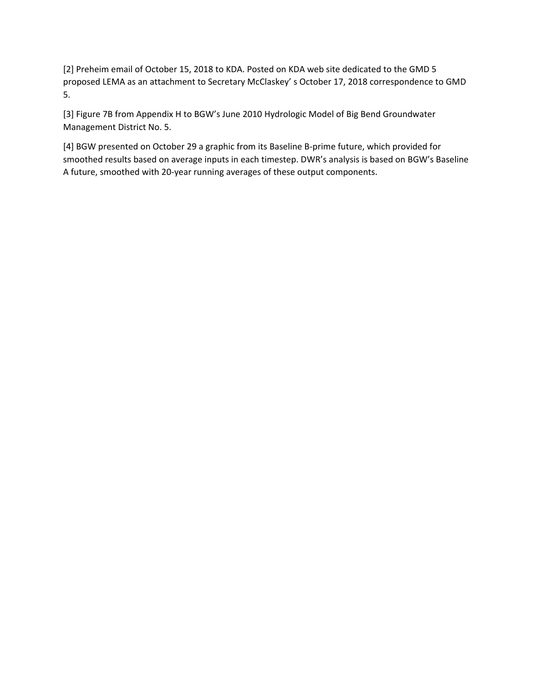[2] Preheim email of October 15, 2018 to KDA. Posted on KDA web site dedicated to the GMD 5 proposed LEMA as an attachment to Secretary McClaskey' s October 17, 2018 correspondence to GMD 5.

[3] Figure 7B from Appendix H to BGW's June 2010 Hydrologic Model of Big Bend Groundwater Management District No. 5.

[4] BGW presented on October 29 a graphic from its Baseline B-prime future, which provided for smoothed results based on average inputs in each timestep. DWR's analysis is based on BGW's Baseline A future, smoothed with 20‐year running averages of these output components.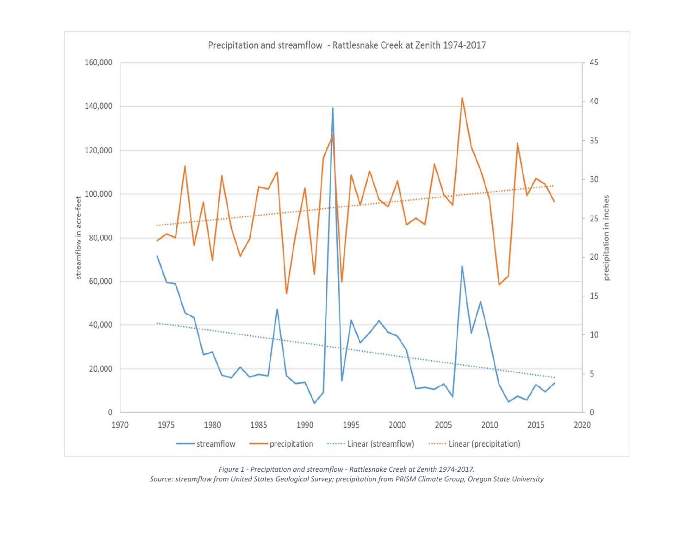

*Figure 1 ‐ Precipitation and streamflow ‐ Rattlesnake Creek at Zenith 1974‐2017. Source: streamflow from United States Geological Survey; precipitation from PRISM Climate Group, Oregon State University*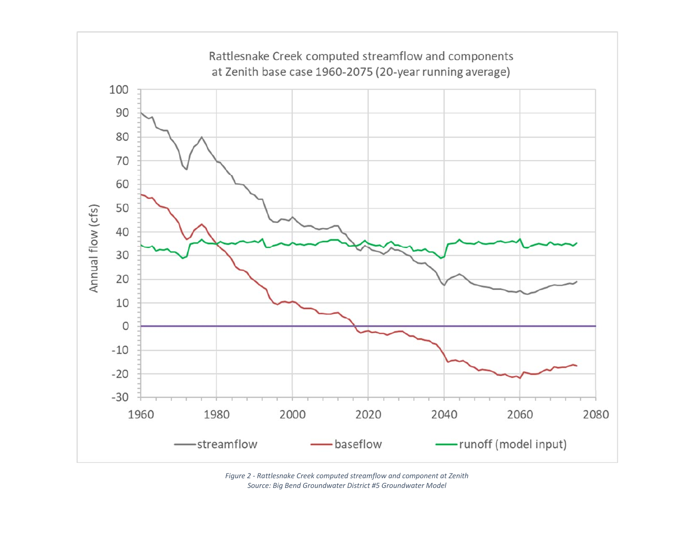

*Figure 2 ‐ Rattlesnake Creek computed streamflow and component at Zenith Source: Big Bend Groundwater District #5 Groundwater Model*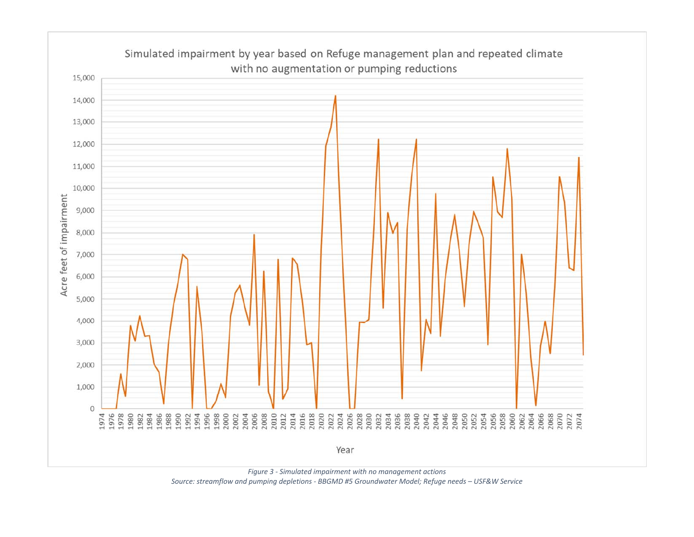

*Source: streamflow and pumping depletions ‐ BBGMD #5 Groundwater Model; Refuge needs – USF&W Service*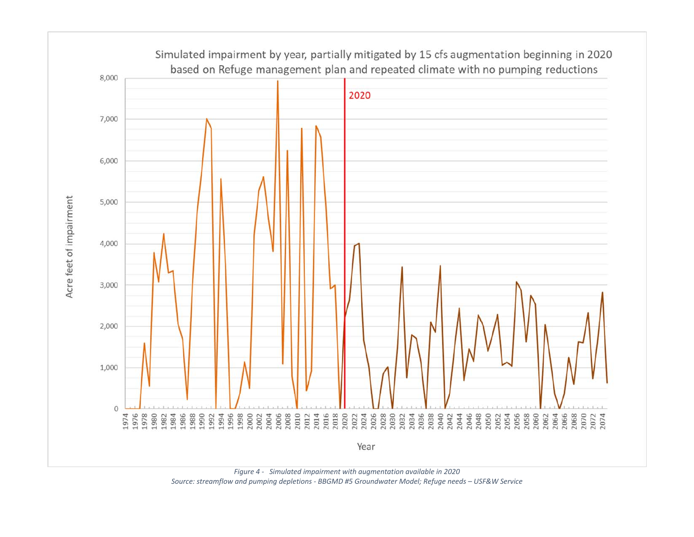

*Figure 4 ‐ Simulated impairment with augmentation available in 2020 Source: streamflow and pumping depletions ‐ BBGMD #5 Groundwater Model; Refuge needs – USF&W Service*